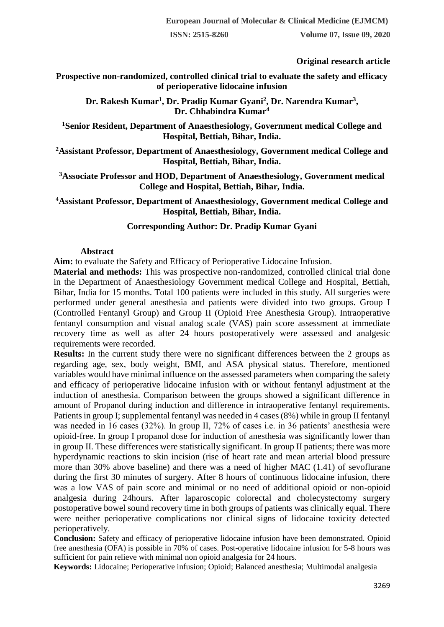**ISSN: 2515-8260 Volume 07, Issue 09, 2020**

# **Original research article**

**Prospective non-randomized, controlled clinical trial to evaluate the safety and efficacy of perioperative lidocaine infusion**

**Dr. Rakesh Kumar<sup>1</sup> , Dr. Pradip Kumar Gyani<sup>2</sup> , Dr. Narendra Kumar<sup>3</sup> , Dr. Chhabindra Kumar<sup>4</sup>**

**<sup>1</sup>Senior Resident, Department of Anaesthesiology, Government medical College and Hospital, Bettiah, Bihar, India.**

**<sup>2</sup>Assistant Professor, Department of Anaesthesiology, Government medical College and Hospital, Bettiah, Bihar, India.**

**<sup>3</sup>Associate Professor and HOD, Department of Anaesthesiology, Government medical College and Hospital, Bettiah, Bihar, India.**

**<sup>4</sup>Assistant Professor, Department of Anaesthesiology, Government medical College and Hospital, Bettiah, Bihar, India.**

# **Corresponding Author: Dr. Pradip Kumar Gyani**

#### **Abstract**

**Aim:** to evaluate the Safety and Efficacy of Perioperative Lidocaine Infusion.

**Material and methods:** This was prospective non-randomized, controlled clinical trial done in the Department of Anaesthesiology Government medical College and Hospital, Bettiah, Bihar, India for 15 months. Total 100 patients were included in this study. All surgeries were performed under general anesthesia and patients were divided into two groups. Group I (Controlled Fentanyl Group) and Group II (Opioid Free Anesthesia Group). Intraoperative fentanyl consumption and visual analog scale (VAS) pain score assessment at immediate recovery time as well as after 24 hours postoperatively were assessed and analgesic requirements were recorded.

**Results:** In the current study there were no significant differences between the 2 groups as regarding age, sex, body weight, BMI, and ASA physical status. Therefore, mentioned variables would have minimal influence on the assessed parameters when comparing the safety and efficacy of perioperative lidocaine infusion with or without fentanyl adjustment at the induction of anesthesia. Comparison between the groups showed a significant difference in amount of Propanol during induction and difference in intraoperative fentanyl requirements. Patients in group I; supplemental fentanyl was needed in 4 cases (8%) while in group II fentanyl was needed in 16 cases (32%). In group II, 72% of cases i.e. in 36 patients' anesthesia were opioid-free. In group I propanol dose for induction of anesthesia was significantly lower than in group II. These differences were statistically significant. In group II patients; there was more hyperdynamic reactions to skin incision (rise of heart rate and mean arterial blood pressure more than 30% above baseline) and there was a need of higher MAC (1.41) of sevoflurane during the first 30 minutes of surgery. After 8 hours of continuous lidocaine infusion, there was a low VAS of pain score and minimal or no need of additional opioid or non-opioid analgesia during 24hours. After laparoscopic colorectal and cholecystectomy surgery postoperative bowel sound recovery time in both groups of patients was clinically equal. There were neither perioperative complications nor clinical signs of lidocaine toxicity detected perioperatively.

**Conclusion:** Safety and efficacy of perioperative lidocaine infusion have been demonstrated. Opioid free anesthesia (OFA) is possible in 70% of cases. Post-operative lidocaine infusion for 5-8 hours was sufficient for pain relieve with minimal non opioid analgesia for 24 hours.

**Keywords:** Lidocaine; Perioperative infusion; Opioid; Balanced anesthesia; Multimodal analgesia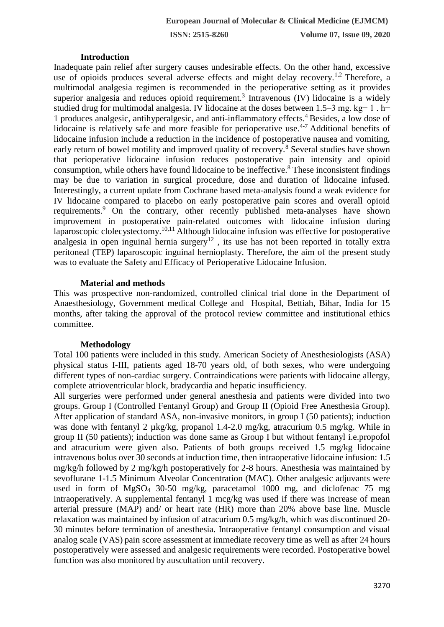**ISSN: 2515-8260 Volume 07, Issue 09, 2020**

#### **Introduction**

Inadequate pain relief after surgery causes undesirable effects. On the other hand, excessive use of opioids produces several adverse effects and might delay recovery.<sup>1,2</sup> Therefore, a multimodal analgesia regimen is recommended in the perioperative setting as it provides superior analgesia and reduces opioid requirement.<sup>3</sup> Intravenous  $(IV)$  lidocaine is a widely studied drug for multimodal analgesia. IV lidocaine at the doses between 1.5–3 mg. kg− 1 . h− 1 produces analgesic, antihyperalgesic, and anti-inflammatory effects.<sup>4</sup>Besides, a low dose of lidocaine is relatively safe and more feasible for perioperative use.<sup> $4-7$ </sup> Additional benefits of lidocaine infusion include a reduction in the incidence of postoperative nausea and vomiting, early return of bowel motility and improved quality of recovery.<sup>8</sup> Several studies have shown that perioperative lidocaine infusion reduces postoperative pain intensity and opioid consumption, while others have found lidocaine to be ineffective.<sup>8</sup> These inconsistent findings may be due to variation in surgical procedure, dose and duration of lidocaine infused. Interestingly, a current update from Cochrane based meta-analysis found a weak evidence for IV lidocaine compared to placebo on early postoperative pain scores and overall opioid requirements.<sup>9</sup> On the contrary, other recently published meta-analyses have shown improvement in postoperative pain-related outcomes with lidocaine infusion during laparoscopic clolecystectomy.<sup>10,11</sup> Although lidocaine infusion was effective for postoperative analgesia in open inguinal hernia surgery<sup>12</sup>, its use has not been reported in totally extra peritoneal (TEP) laparoscopic inguinal hernioplasty. Therefore, the aim of the present study was to evaluate the Safety and Efficacy of Perioperative Lidocaine Infusion.

## **Material and methods**

This was prospective non-randomized, controlled clinical trial done in the Department of Anaesthesiology, Government medical College and Hospital, Bettiah, Bihar, India for 15 months, after taking the approval of the protocol review committee and institutional ethics committee.

## **Methodology**

Total 100 patients were included in this study. American Society of Anesthesiologists (ASA) physical status I-III, patients aged 18-70 years old, of both sexes, who were undergoing different types of non-cardiac surgery. Contraindications were patients with lidocaine allergy, complete atrioventricular block, bradycardia and hepatic insufficiency.

All surgeries were performed under general anesthesia and patients were divided into two groups. Group I (Controlled Fentanyl Group) and Group II (Opioid Free Anesthesia Group). After application of standard ASA, non-invasive monitors, in group I (50 patients); induction was done with fentanyl 2  $\mu$ kg/kg, propanol 1.4-2.0 mg/kg, atracurium 0.5 mg/kg. While in group II (50 patients); induction was done same as Group I but without fentanyl i.e.propofol and atracurium were given also. Patients of both groups received 1.5 mg/kg lidocaine intravenous bolus over 30 seconds at induction time, then intraoperative lidocaine infusion: 1.5 mg/kg/h followed by 2 mg/kg/h postoperatively for 2-8 hours. Anesthesia was maintained by sevoflurane 1-1.5 Minimum Alveolar Concentration (MAC). Other analgesic adjuvants were used in form of MgSO<sup>4</sup> 30-50 mg/kg, paracetamol 1000 mg, and diclofenac 75 mg intraoperatively. A supplemental fentanyl 1 mcg/kg was used if there was increase of mean arterial pressure (MAP) and/ or heart rate (HR) more than 20% above base line. Muscle relaxation was maintained by infusion of atracurium 0.5 mg/kg/h, which was discontinued 20- 30 minutes before termination of anesthesia. Intraoperative fentanyl consumption and visual analog scale (VAS) pain score assessment at immediate recovery time as well as after 24 hours postoperatively were assessed and analgesic requirements were recorded. Postoperative bowel function was also monitored by auscultation until recovery.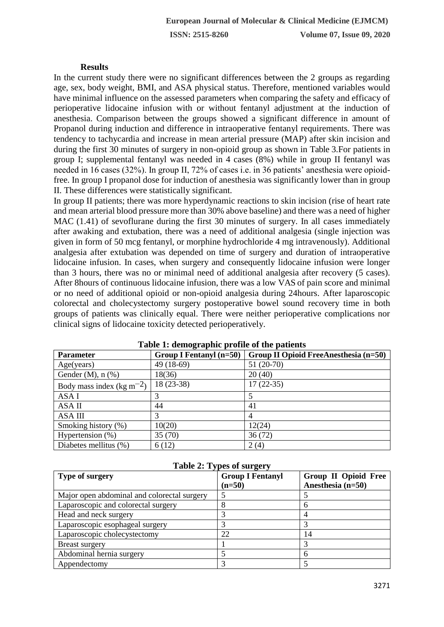## **Results**

In the current study there were no significant differences between the 2 groups as regarding age, sex, body weight, BMI, and ASA physical status. Therefore, mentioned variables would have minimal influence on the assessed parameters when comparing the safety and efficacy of perioperative lidocaine infusion with or without fentanyl adjustment at the induction of anesthesia. Comparison between the groups showed a significant difference in amount of Propanol during induction and difference in intraoperative fentanyl requirements. There was tendency to tachycardia and increase in mean arterial pressure (MAP) after skin incision and during the first 30 minutes of surgery in non-opioid group as shown in Table 3.For patients in group I; supplemental fentanyl was needed in 4 cases (8%) while in group II fentanyl was needed in 16 cases (32%). In group II, 72% of cases i.e. in 36 patients' anesthesia were opioidfree. In group I propanol dose for induction of anesthesia was significantly lower than in group II. These differences were statistically significant.

In group II patients; there was more hyperdynamic reactions to skin incision (rise of heart rate and mean arterial blood pressure more than 30% above baseline) and there was a need of higher MAC (1.41) of sevoflurane during the first 30 minutes of surgery. In all cases immediately after awaking and extubation, there was a need of additional analgesia (single injection was given in form of 50 mcg fentanyl, or morphine hydrochloride 4 mg intravenously). Additional analgesia after extubation was depended on time of surgery and duration of intraoperative lidocaine infusion. In cases, when surgery and consequently lidocaine infusion were longer than 3 hours, there was no or minimal need of additional analgesia after recovery (5 cases). After 8hours of continuous lidocaine infusion, there was a low VAS of pain score and minimal or no need of additional opioid or non-opioid analgesia during 24hours. After laparoscopic colorectal and cholecystectomy surgery postoperative bowel sound recovery time in both groups of patients was clinically equal. There were neither perioperative complications nor clinical signs of lidocaine toxicity detected perioperatively.

| <b>Parameter</b>                                   | <b>Group I Fentanyl (n=50)</b> | Group II Opioid FreeAnesthesia (n=50) |
|----------------------------------------------------|--------------------------------|---------------------------------------|
| Age(years)                                         | 49 (18-69)                     | $51(20-70)$                           |
| Gender $(M)$ , n $(\%)$                            | 18(36)                         | 20(40)                                |
| Body mass index (kg m <sup><math>-2</math></sup> ) | $18(23-38)$                    | $17(22-35)$                           |
| ASA I                                              |                                |                                       |
| ASA II                                             | 44                             | 41                                    |
| <b>ASA III</b>                                     |                                | $\overline{4}$                        |
| Smoking history (%)                                | 10(20)                         | 12(24)                                |
| Hypertension $(\%)$                                | 35(70)                         | 36(72)                                |
| Diabetes mellitus (%)                              | 6(12)                          | 2(4)                                  |

|  | Table 1: demographic profile of the patients |  |  |  |
|--|----------------------------------------------|--|--|--|
|  |                                              |  |  |  |

| <b>Table 2: Types of surgery</b>            |                         |                             |  |  |  |  |
|---------------------------------------------|-------------------------|-----------------------------|--|--|--|--|
| <b>Type of surgery</b>                      | <b>Group I Fentanyl</b> | <b>Group II Opioid Free</b> |  |  |  |  |
|                                             | $(n=50)$                | Anesthesia (n=50)           |  |  |  |  |
| Major open abdominal and colorectal surgery |                         |                             |  |  |  |  |
| Laparoscopic and colorectal surgery         | 8                       | 6                           |  |  |  |  |
| Head and neck surgery                       |                         |                             |  |  |  |  |
| Laparoscopic esophageal surgery             |                         |                             |  |  |  |  |
| Laparoscopic cholecystectomy                | 22                      | 14                          |  |  |  |  |
| <b>Breast surgery</b>                       |                         |                             |  |  |  |  |
| Abdominal hernia surgery                    |                         | 6                           |  |  |  |  |
| Appendectomy                                |                         |                             |  |  |  |  |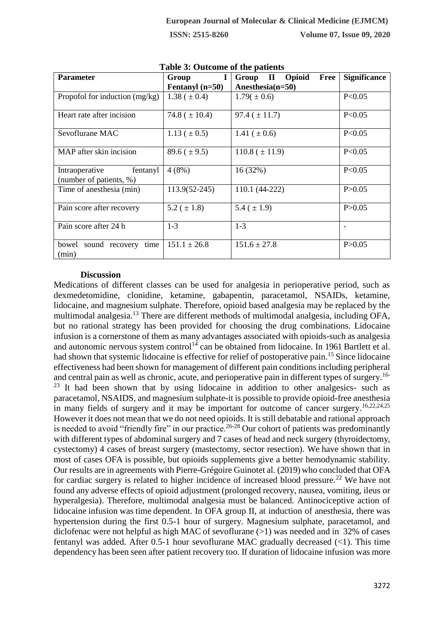| <b>Parameter</b>                                   | Group              | Group II Opioid<br>Free | <b>Significance</b> |
|----------------------------------------------------|--------------------|-------------------------|---------------------|
|                                                    |                    | Anesthesia(n=50)        |                     |
|                                                    | Fentanyl $(n=50)$  |                         |                     |
| Propofol for induction $(mg/kg)$                   | $1.38~(\pm 0.4)$   | $1.79(\pm 0.6)$         | P < 0.05            |
| Heart rate after incision                          | 74.8 ( $\pm$ 10.4) | $97.4~(\pm 11.7)$       | P<0.05              |
| Sevoflurane MAC                                    | $1.13 (\pm 0.5)$   | 1.41 ( $\pm$ 0.6)       | P < 0.05            |
| MAP after skin incision                            | $89.6 (\pm 9.5)$   | $110.8 (\pm 11.9)$      | P < 0.05            |
| Intraoperative fentanyl<br>(number of patients, %) | 4(8%)              | 16(32%)                 | P<0.05              |
| Time of anesthesia (min)                           | 113.9(52-245)      | 110.1 (44-222)          | P > 0.05            |
| Pain score after recovery                          | 5.2 ( $\pm$ 1.8)   | 5.4 ( $\pm$ 1.9)        | P > 0.05            |
| Pain score after 24 h                              | $1-3$              | $1-3$                   |                     |
| sound recovery<br>time<br>bowel<br>(min)           | $151.1 \pm 26.8$   | $151.6 \pm 27.8$        | P > 0.05            |

**Table 3: Outcome of the patients**

### **Discussion**

Medications of different classes can be used for analgesia in perioperative period, such as dexmedetomidine, clonidine, ketamine, gabapentin, paracetamol, NSAIDs, ketamine, lidocaine, and magnesium sulphate. Therefore, opioid based analgesia may be replaced by the multimodal analgesia.<sup>13</sup> There are different methods of multimodal analgesia, including OFA, but no rational strategy has been provided for choosing the drug combinations. Lidocaine infusion is a cornerstone of them as many advantages associated with opioids-such as analgesia and autonomic nervous system control<sup>14</sup> can be obtained from lidocaine. In 1961 Bartlett et al. had shown that systemic lidocaine is effective for relief of postoperative pain.<sup>15</sup> Since lidocaine effectiveness had been shown for management of different pain conditions including peripheral and central pain as well as chronic, acute, and perioperative pain in different types of surgery.16-  $23$  It had been shown that by using lidocaine in addition to other analgesics- such as paracetamol, NSAIDS, and magnesium sulphate-it is possible to provide opioid-free anesthesia in many fields of surgery and it may be important for outcome of cancer surgery.<sup>16,22,24,25</sup> However it does not mean that we do not need opioids. It is still debatable and rational approach is needed to avoid "friendly fire" in our practice.<sup>26-28</sup> Our cohort of patients was predominantly with different types of abdominal surgery and 7 cases of head and neck surgery (thyroidectomy, cystectomy) 4 cases of breast surgery (mastectomy, sector resection). We have shown that in most of cases OFA is possible, but opioids supplements give a better hemodynamic stability. Our results are in agreements with Pierre-Grégoire Guinotet al. (2019) who concluded that OFA for cardiac surgery is related to higher incidence of increased blood pressure.<sup>22</sup> We have not found any adverse effects of opioid adjustment (prolonged recovery, nausea, vomiting, ileus or hyperalgesia). Therefore, multimodal analgesia must be balanced. Antinociceptive action of lidocaine infusion was time dependent. In OFA group II, at induction of anesthesia, there was hypertension during the first 0.5-1 hour of surgery. Magnesium sulphate, paracetamol, and diclofenac were not helpful as high MAC of sevoflurane ( $>1$ ) was needed and in 32% of cases fentanyl was added. After 0.5-1 hour sevoflurane MAC gradually decreased  $(\langle 1 \rangle)$ . This time dependency has been seen after patient recovery too. If duration of lidocaine infusion was more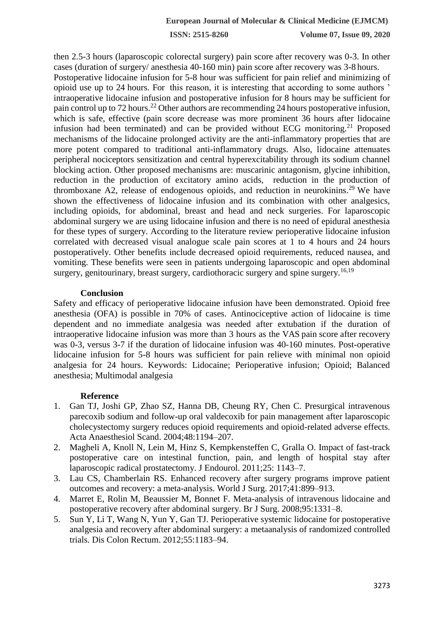**ISSN: 2515-8260 Volume 07, Issue 09, 2020**

then 2.5-3 hours (laparoscopic colorectal surgery) pain score after recovery was 0-3. In other cases (duration of surgery/ anesthesia 40-160 min) pain score after recovery was 3-8 hours. Postoperative lidocaine infusion for 5-8 hour was sufficient for pain relief and minimizing of opioid use up to 24 hours. For this reason, it is interesting that according to some authors ' intraoperative lidocaine infusion and postoperative infusion for 8 hours may be sufficient for pain control up to 72 hours.<sup>22</sup> Other authors are recommending 24 hours postoperative infusion, which is safe, effective (pain score decrease was more prominent 36 hours after lidocaine infusion had been terminated) and can be provided without ECG monitoring.<sup>21</sup> Proposed mechanisms of the lidocaine prolonged activity are the anti-inflammatory properties that are more potent compared to traditional anti-inflammatory drugs. Also, lidocaine attenuates peripheral nociceptors sensitization and central hyperexcitability through its sodium channel blocking action. Other proposed mechanisms are: muscarinic antagonism, glycine inhibition, reduction in the production of excitatory amino acids, reduction in the production of thromboxane A2, release of endogenous opioids, and reduction in neurokinins.<sup>29</sup> We have shown the effectiveness of lidocaine infusion and its combination with other analgesics, including opioids, for abdominal, breast and head and neck surgeries. For laparoscopic abdominal surgery we are using lidocaine infusion and there is no need of epidural anesthesia for these types of surgery. According to the literature review perioperative lidocaine infusion correlated with decreased visual analogue scale pain scores at 1 to 4 hours and 24 hours postoperatively. Other benefits include decreased opioid requirements, reduced nausea, and vomiting. These benefits were seen in patients undergoing laparoscopic and open abdominal surgery, genitourinary, breast surgery, cardiothoracic surgery and spine surgery.<sup>16,19</sup>

#### **Conclusion**

Safety and efficacy of perioperative lidocaine infusion have been demonstrated. Opioid free anesthesia (OFA) is possible in 70% of cases. Antinociceptive action of lidocaine is time dependent and no immediate analgesia was needed after extubation if the duration of intraoperative lidocaine infusion was more than 3 hours as the VAS pain score after recovery was 0-3, versus 3-7 if the duration of lidocaine infusion was 40-160 minutes. Post-operative lidocaine infusion for 5-8 hours was sufficient for pain relieve with minimal non opioid analgesia for 24 hours. Keywords: Lidocaine; Perioperative infusion; Opioid; Balanced anesthesia; Multimodal analgesia

#### **Reference**

- 1. Gan TJ, Joshi GP, Zhao SZ, Hanna DB, Cheung RY, Chen C. Presurgical intravenous parecoxib sodium and follow-up oral valdecoxib for pain management after laparoscopic cholecystectomy surgery reduces opioid requirements and opioid-related adverse effects. Acta Anaesthesiol Scand. 2004;48:1194–207.
- 2. Magheli A, Knoll N, Lein M, Hinz S, Kempkensteffen C, Gralla O. Impact of fast-track postoperative care on intestinal function, pain, and length of hospital stay after laparoscopic radical prostatectomy. J Endourol. 2011;25: 1143–7.
- 3. Lau CS, Chamberlain RS. Enhanced recovery after surgery programs improve patient outcomes and recovery: a meta-analysis. World J Surg. 2017;41:899–913.
- 4. Marret E, Rolin M, Beaussier M, Bonnet F. Meta-analysis of intravenous lidocaine and postoperative recovery after abdominal surgery. Br J Surg. 2008;95:1331–8.
- 5. Sun Y, Li T, Wang N, Yun Y, Gan TJ. Perioperative systemic lidocaine for postoperative analgesia and recovery after abdominal surgery: a metaanalysis of randomized controlled trials. Dis Colon Rectum. 2012;55:1183–94.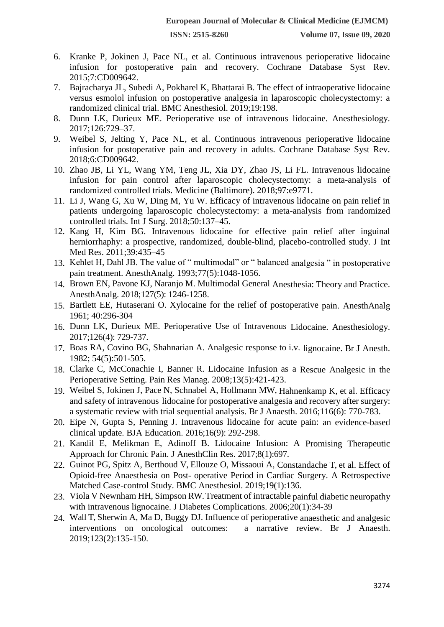- 6. Kranke P, Jokinen J, Pace NL, et al. Continuous intravenous perioperative lidocaine infusion for postoperative pain and recovery. Cochrane Database Syst Rev. 2015;7:CD009642.
- 7. Bajracharya JL, Subedi A, Pokharel K, Bhattarai B. The effect of intraoperative lidocaine versus esmolol infusion on postoperative analgesia in laparoscopic cholecystectomy: a randomized clinical trial. BMC Anesthesiol. 2019;19:198.
- 8. Dunn LK, Durieux ME. Perioperative use of intravenous lidocaine. Anesthesiology. 2017;126:729–37.
- 9. Weibel S, Jelting Y, Pace NL, et al. Continuous intravenous perioperative lidocaine infusion for postoperative pain and recovery in adults. Cochrane Database Syst Rev. 2018;6:CD009642.
- 10. Zhao JB, Li YL, Wang YM, Teng JL, Xia DY, Zhao JS, Li FL. Intravenous lidocaine infusion for pain control after laparoscopic cholecystectomy: a meta-analysis of randomized controlled trials. Medicine (Baltimore). 2018;97:e9771.
- 11. Li J, Wang G, Xu W, Ding M, Yu W. Efficacy of intravenous lidocaine on pain relief in patients undergoing laparoscopic cholecystectomy: a meta-analysis from randomized controlled trials. Int J Surg. 2018;50:137–45.
- 12. Kang H, Kim BG. Intravenous lidocaine for effective pain relief after inguinal herniorrhaphy: a prospective, randomized, double-blind, placebo-controlled study. J Int Med Res. 2011;39:435–45
- 13. Kehlet H, Dahl JB. The value of " multimodal" or " balanced analgesia " in postoperative pain treatment. AnesthAnalg. 1993;77(5):1048-1056.
- 14. Brown EN, Pavone KJ, Naranjo M. Multimodal General Anesthesia: Theory and Practice. AnesthAnalg. 2018;127(5): 1246-1258.
- 15. Bartlett EE, Hutaserani O. Xylocaine for the relief of postoperative pain. AnesthAnalg 1961; 40:296-304
- 16. Dunn LK, Durieux ME. Perioperative Use of Intravenous Lidocaine. Anesthesiology. 2017;126(4): 729-737.
- 17. Boas RA, Covino BG, Shahnarian A. Analgesic response to i.v. lignocaine. Br J Anesth. 1982; 54(5):501-505.
- 18. Clarke C, McConachie I, Banner R. Lidocaine Infusion as a Rescue Analgesic in the Perioperative Setting. Pain Res Manag. 2008;13(5):421-423.
- 19. Weibel S, Jokinen J, Pace N, Schnabel A, Hollmann MW, Hahnenkamp K, et al. Efficacy and safety of intravenous lidocaine for postoperative analgesia and recovery after surgery: a systematic review with trial sequential analysis. Br J Anaesth. 2016;116(6): 770-783.
- 20. Eipe N, Gupta S, Penning J. Intravenous lidocaine for acute pain: an evidence-based clinical update. BJA Education. 2016;16(9): 292-298.
- 21. Kandil E, Melikman E, Adinoff B. Lidocaine Infusion: A Promising Therapeutic Approach for Chronic Pain. J AnesthClin Res. 2017;8(1):697.
- 22. Guinot PG, Spitz A, Berthoud V, Ellouze O, Missaoui A, Constandache T, et al. Effect of Opioid-free Anaesthesia on Post- operative Period in Cardiac Surgery. A Retrospective Matched Case-control Study. BMC Anesthesiol. 2019;19(1):136.
- 23. Viola V Newnham HH, Simpson RW. Treatment of intractable painful diabetic neuropathy with intravenous lignocaine. J Diabetes Complications. 2006;20(1):34-39
- 24. Wall T, Sherwin A, Ma D, Buggy DJ. Influence of perioperative anaesthetic and analgesic interventions on oncological outcomes: a narrative review. Br J Anaesth. 2019;123(2):135-150.